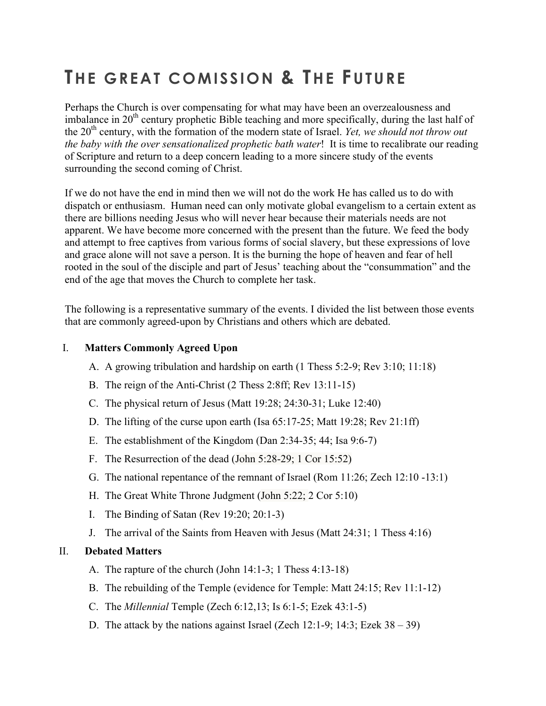# **THE GREAT COMISSION & THE FUTURE**

Perhaps the Church is over compensating for what may have been an overzealousness and imbalance in  $20<sup>th</sup>$  century prophetic Bible teaching and more specifically, during the last half of the 20<sup>th</sup> century, with the formation of the modern state of Israel. *Yet, we should not throw out the baby with the over sensationalized prophetic bath water*! It is time to recalibrate our reading of Scripture and return to a deep concern leading to a more sincere study of the events surrounding the second coming of Christ.

If we do not have the end in mind then we will not do the work He has called us to do with dispatch or enthusiasm. Human need can only motivate global evangelism to a certain extent as there are billions needing Jesus who will never hear because their materials needs are not apparent. We have become more concerned with the present than the future. We feed the body and attempt to free captives from various forms of social slavery, but these expressions of love and grace alone will not save a person. It is the burning the hope of heaven and fear of hell rooted in the soul of the disciple and part of Jesus' teaching about the "consummation" and the end of the age that moves the Church to complete her task.

The following is a representative summary of the events. I divided the list between those events that are commonly agreed-upon by Christians and others which are debated.

#### I. **Matters Commonly Agreed Upon**

- A. A growing tribulation and hardship on earth (1 Thess 5:2-9; Rev 3:10; 11:18)
- B. The reign of the Anti-Christ (2 Thess 2:8ff; Rev 13:11-15)
- C. The physical return of Jesus (Matt 19:28; 24:30-31; Luke 12:40)
- D. The lifting of the curse upon earth (Isa 65:17-25; Matt 19:28; Rev 21:1ff)
- E. The establishment of the Kingdom (Dan 2:34-35; 44; Isa 9:6-7)
- F. The Resurrection of the dead (John 5:28-29; 1 Cor 15:52)
- G. The national repentance of the remnant of Israel (Rom 11:26; Zech 12:10 -13:1)
- H. The Great White Throne Judgment (John 5:22; 2 Cor 5:10)
- I. The Binding of Satan (Rev 19:20; 20:1-3)
- J. The arrival of the Saints from Heaven with Jesus (Matt 24:31; 1 Thess 4:16)

#### II. **Debated Matters**

- A. The rapture of the church (John 14:1-3; 1 Thess 4:13-18)
- B. The rebuilding of the Temple (evidence for Temple: Matt 24:15; Rev 11:1-12)
- C. The *Millennial* Temple (Zech 6:12,13; Is 6:1-5; Ezek 43:1-5)
- D. The attack by the nations against Israel (Zech 12:1-9; 14:3; Ezek  $38 39$ )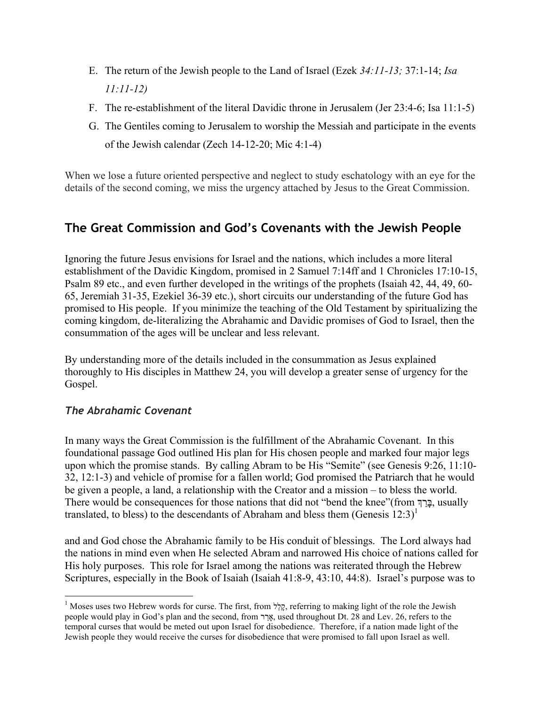- E. The return of the Jewish people to the Land of Israel (Ezek *34:11-13;* 37:1-14; *Isa 11:11-12)*
- F. The re-establishment of the literal Davidic throne in Jerusalem (Jer 23:4-6; Isa 11:1-5)
- G. The Gentiles coming to Jerusalem to worship the Messiah and participate in the events of the Jewish calendar (Zech 14-12-20; Mic 4:1-4)

When we lose a future oriented perspective and neglect to study eschatology with an eye for the details of the second coming, we miss the urgency attached by Jesus to the Great Commission.

# **The Great Commission and God's Covenants with the Jewish People**

Ignoring the future Jesus envisions for Israel and the nations, which includes a more literal establishment of the Davidic Kingdom, promised in 2 Samuel 7:14ff and 1 Chronicles 17:10-15, Psalm 89 etc., and even further developed in the writings of the prophets (Isaiah 42, 44, 49, 60- 65, Jeremiah 31-35, Ezekiel 36-39 etc.), short circuits our understanding of the future God has promised to His people. If you minimize the teaching of the Old Testament by spiritualizing the coming kingdom, de-literalizing the Abrahamic and Davidic promises of God to Israel, then the consummation of the ages will be unclear and less relevant.

By understanding more of the details included in the consummation as Jesus explained thoroughly to His disciples in Matthew 24, you will develop a greater sense of urgency for the Gospel.

## *The Abrahamic Covenant*

In many ways the Great Commission is the fulfillment of the Abrahamic Covenant. In this foundational passage God outlined His plan for His chosen people and marked four major legs upon which the promise stands. By calling Abram to be His "Semite" (see Genesis 9:26, 11:10- 32, 12:1-3) and vehicle of promise for a fallen world; God promised the Patriarch that he would be given a people, a land, a relationship with the Creator and a mission – to bless the world. There would be consequences for those nations that did not "bend the knee"(from בָּרַךְ, usually translated, to bless) to the descendants of Abraham and bless them (Genesis  $12:3$ )<sup>1</sup>

and and God chose the Abrahamic family to be His conduit of blessings. The Lord always had the nations in mind even when He selected Abram and narrowed His choice of nations called for His holy purposes. This role for Israel among the nations was reiterated through the Hebrew Scriptures, especially in the Book of Isaiah (Isaiah 41:8-9, 43:10, 44:8). Israel's purpose was to

<sup>&</sup>lt;sup>1</sup> Moses uses two Hebrew words for curse. The first, from קֲלֵל, referring to making light of the role the Jewish people would play in God's plan and the second, from אֲרֹר, used throughout Dt. 28 and Lev. 26, refers to the temporal curses that would be meted out upon Israel for disobedience. Therefore, if a nation made light of the Jewish people they would receive the curses for disobedience that were promised to fall upon Israel as well.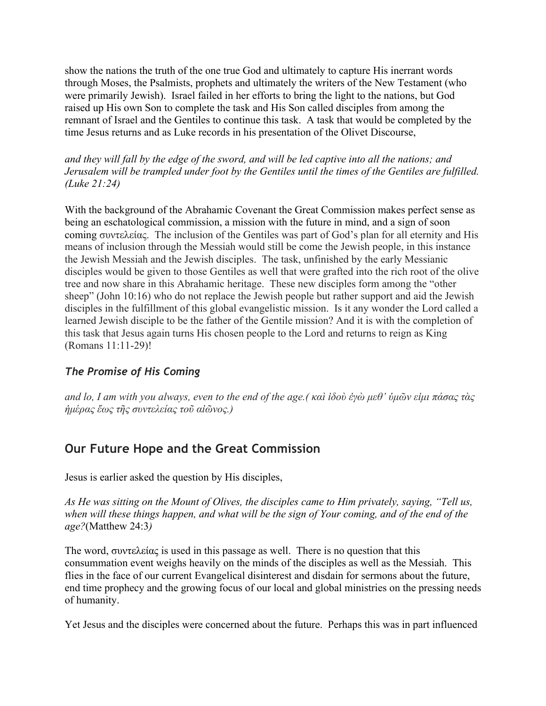show the nations the truth of the one true God and ultimately to capture His inerrant words through Moses, the Psalmists, prophets and ultimately the writers of the New Testament (who were primarily Jewish). Israel failed in her efforts to bring the light to the nations, but God raised up His own Son to complete the task and His Son called disciples from among the remnant of Israel and the Gentiles to continue this task. A task that would be completed by the time Jesus returns and as Luke records in his presentation of the Olivet Discourse,

*and they will fall by the edge of the sword, and will be led captive into all the nations; and Jerusalem will be trampled under foot by the Gentiles until the times of the Gentiles are fulfilled. (Luke 21:24)*

With the background of the Abrahamic Covenant the Great Commission makes perfect sense as being an eschatological commission, a mission with the future in mind, and a sign of soon coming συντελείας. The inclusion of the Gentiles was part of God's plan for all eternity and His means of inclusion through the Messiah would still be come the Jewish people, in this instance the Jewish Messiah and the Jewish disciples. The task, unfinished by the early Messianic disciples would be given to those Gentiles as well that were grafted into the rich root of the olive tree and now share in this Abrahamic heritage. These new disciples form among the "other sheep" (John 10:16) who do not replace the Jewish people but rather support and aid the Jewish disciples in the fulfillment of this global evangelistic mission. Is it any wonder the Lord called a learned Jewish disciple to be the father of the Gentile mission? And it is with the completion of this task that Jesus again turns His chosen people to the Lord and returns to reign as King (Romans 11:11-29)!

## *The Promise of His Coming*

*and lo, I am with you always, even to the end of the age.( καὶ ἰδοὺ ἐγὼ µεθ' ὑµῶν εἰµι πάσας τὰς ἡµέρας ἕως τῆς συντελείας τοῦ αἰῶνος.)*

# **Our Future Hope and the Great Commission**

Jesus is earlier asked the question by His disciples,

*As He was sitting on the Mount of Olives, the disciples came to Him privately, saying, "Tell us, when will these things happen, and what will be the sign of Your coming, and of the end of the age?*(Matthew 24:3*)*

The word, συντελείας is used in this passage as well. There is no question that this consummation event weighs heavily on the minds of the disciples as well as the Messiah. This flies in the face of our current Evangelical disinterest and disdain for sermons about the future, end time prophecy and the growing focus of our local and global ministries on the pressing needs of humanity.

Yet Jesus and the disciples were concerned about the future. Perhaps this was in part influenced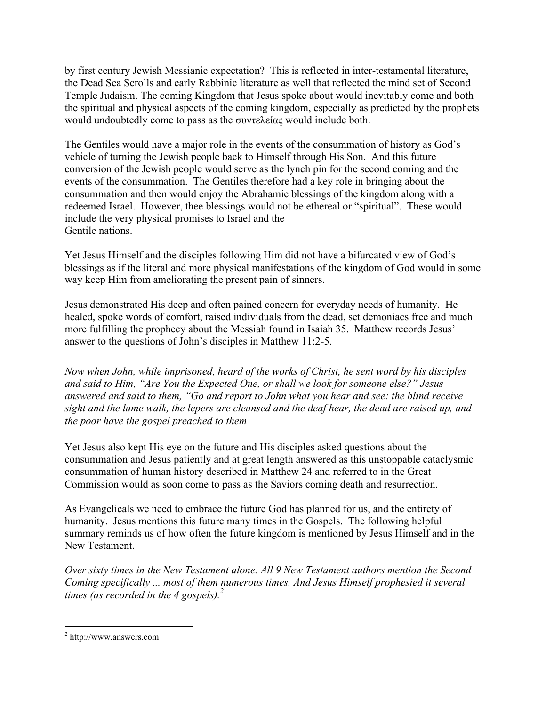by first century Jewish Messianic expectation? This is reflected in inter-testamental literature, the Dead Sea Scrolls and early Rabbinic literature as well that reflected the mind set of Second Temple Judaism. The coming Kingdom that Jesus spoke about would inevitably come and both the spiritual and physical aspects of the coming kingdom, especially as predicted by the prophets would undoubtedly come to pass as the συντελείας would include both.

The Gentiles would have a major role in the events of the consummation of history as God's vehicle of turning the Jewish people back to Himself through His Son. And this future conversion of the Jewish people would serve as the lynch pin for the second coming and the events of the consummation. The Gentiles therefore had a key role in bringing about the consummation and then would enjoy the Abrahamic blessings of the kingdom along with a redeemed Israel. However, thee blessings would not be ethereal or "spiritual". These would include the very physical promises to Israel and the Gentile nations.

Yet Jesus Himself and the disciples following Him did not have a bifurcated view of God's blessings as if the literal and more physical manifestations of the kingdom of God would in some way keep Him from ameliorating the present pain of sinners.

Jesus demonstrated His deep and often pained concern for everyday needs of humanity. He healed, spoke words of comfort, raised individuals from the dead, set demoniacs free and much more fulfilling the prophecy about the Messiah found in Isaiah 35. Matthew records Jesus' answer to the questions of John's disciples in Matthew 11:2-5.

*Now when John, while imprisoned, heard of the works of Christ, he sent word by his disciples and said to Him, "Are You the Expected One, or shall we look for someone else?" Jesus answered and said to them, "Go and report to John what you hear and see: the blind receive sight and the lame walk, the lepers are cleansed and the deaf hear, the dead are raised up, and the poor have the gospel preached to them*

Yet Jesus also kept His eye on the future and His disciples asked questions about the consummation and Jesus patiently and at great length answered as this unstoppable cataclysmic consummation of human history described in Matthew 24 and referred to in the Great Commission would as soon come to pass as the Saviors coming death and resurrection.

As Evangelicals we need to embrace the future God has planned for us, and the entirety of humanity. Jesus mentions this future many times in the Gospels. The following helpful summary reminds us of how often the future kingdom is mentioned by Jesus Himself and in the New Testament.

*Over sixty times in the New Testament alone. All 9 New Testament authors mention the Second Coming specifically ... most of them numerous times. And Jesus Himself prophesied it several times (as recorded in the 4 gospels).2*

 <sup>2</sup> http://www.answers.com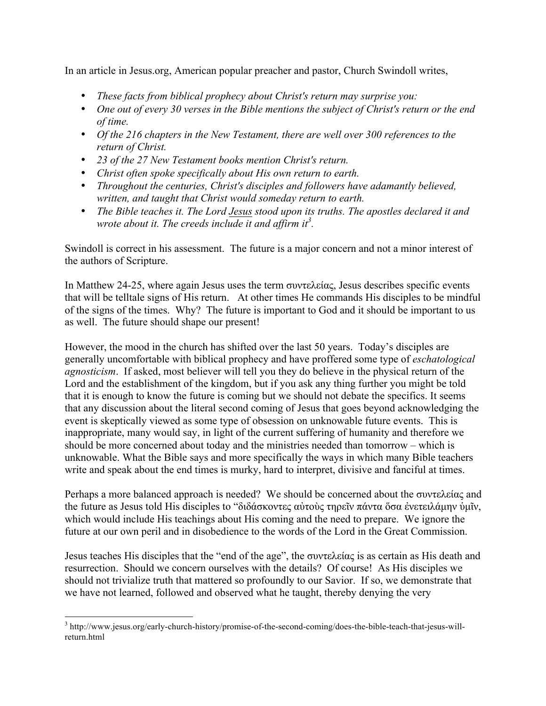In an article in Jesus.org, American popular preacher and pastor, Church Swindoll writes,

- *These facts from biblical prophecy about Christ's return may surprise you:*
- *One out of every 30 verses in the Bible mentions the subject of Christ's return or the end of time.*
- *Of the 216 chapters in the New Testament, there are well over 300 references to the return of Christ.*
- *23 of the 27 New Testament books mention Christ's return.*
- *Christ often spoke specifically about His own return to earth.*
- *Throughout the centuries, Christ's disciples and followers have adamantly believed, written, and taught that Christ would someday return to earth.*
- *The Bible teaches it. The Lord Jesus stood upon its truths. The apostles declared it and*  wrote about it. The creeds include it and affirm it<sup>3</sup>.

Swindoll is correct in his assessment. The future is a major concern and not a minor interest of the authors of Scripture.

In Matthew 24-25, where again Jesus uses the term συντελείας, Jesus describes specific events that will be telltale signs of His return. At other times He commands His disciples to be mindful of the signs of the times. Why? The future is important to God and it should be important to us as well. The future should shape our present!

However, the mood in the church has shifted over the last 50 years. Today's disciples are generally uncomfortable with biblical prophecy and have proffered some type of *eschatological agnosticism*. If asked, most believer will tell you they do believe in the physical return of the Lord and the establishment of the kingdom, but if you ask any thing further you might be told that it is enough to know the future is coming but we should not debate the specifics. It seems that any discussion about the literal second coming of Jesus that goes beyond acknowledging the event is skeptically viewed as some type of obsession on unknowable future events. This is inappropriate, many would say, in light of the current suffering of humanity and therefore we should be more concerned about today and the ministries needed than tomorrow – which is unknowable. What the Bible says and more specifically the ways in which many Bible teachers write and speak about the end times is murky, hard to interpret, divisive and fanciful at times.

Perhaps a more balanced approach is needed? We should be concerned about the συντελείας and the future as Jesus told His disciples to "διδάσκοντες αὐτοὺς τηρεῖν πάντα ὅσα ἐνετειλάµην ὑµῖν, which would include His teachings about His coming and the need to prepare. We ignore the future at our own peril and in disobedience to the words of the Lord in the Great Commission.

Jesus teaches His disciples that the "end of the age", the συντελείας is as certain as His death and resurrection. Should we concern ourselves with the details? Of course! As His disciples we should not trivialize truth that mattered so profoundly to our Savior. If so, we demonstrate that we have not learned, followed and observed what he taught, thereby denying the very

 <sup>3</sup> http://www.jesus.org/early-church-history/promise-of-the-second-coming/does-the-bible-teach-that-jesus-willreturn.html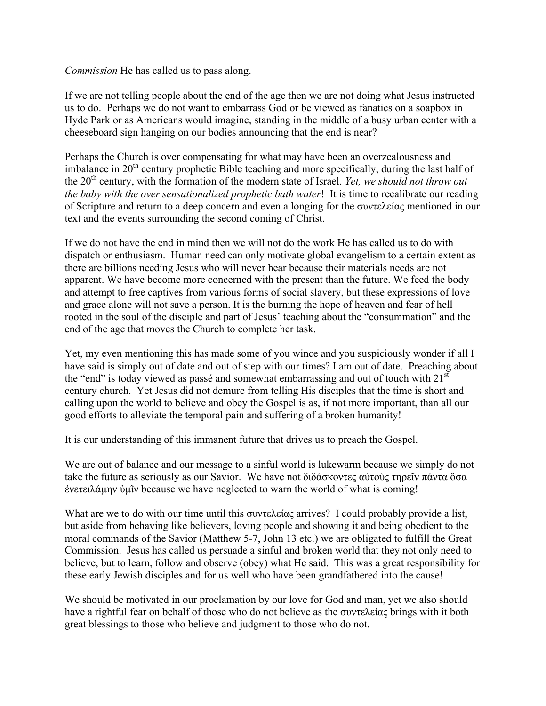*Commission* He has called us to pass along.

If we are not telling people about the end of the age then we are not doing what Jesus instructed us to do. Perhaps we do not want to embarrass God or be viewed as fanatics on a soapbox in Hyde Park or as Americans would imagine, standing in the middle of a busy urban center with a cheeseboard sign hanging on our bodies announcing that the end is near?

Perhaps the Church is over compensating for what may have been an overzealousness and imbalance in  $20<sup>th</sup>$  century prophetic Bible teaching and more specifically, during the last half of the 20<sup>th</sup> century, with the formation of the modern state of Israel. *Yet, we should not throw out the baby with the over sensationalized prophetic bath water*! It is time to recalibrate our reading of Scripture and return to a deep concern and even a longing for the συντελείας mentioned in our text and the events surrounding the second coming of Christ.

If we do not have the end in mind then we will not do the work He has called us to do with dispatch or enthusiasm. Human need can only motivate global evangelism to a certain extent as there are billions needing Jesus who will never hear because their materials needs are not apparent. We have become more concerned with the present than the future. We feed the body and attempt to free captives from various forms of social slavery, but these expressions of love and grace alone will not save a person. It is the burning the hope of heaven and fear of hell rooted in the soul of the disciple and part of Jesus' teaching about the "consummation" and the end of the age that moves the Church to complete her task.

Yet, my even mentioning this has made some of you wince and you suspiciously wonder if all I have said is simply out of date and out of step with our times? I am out of date. Preaching about the "end" is today viewed as passé and somewhat embarrassing and out of touch with  $21<sup>st</sup>$ century church. Yet Jesus did not demure from telling His disciples that the time is short and calling upon the world to believe and obey the Gospel is as, if not more important, than all our good efforts to alleviate the temporal pain and suffering of a broken humanity!

It is our understanding of this immanent future that drives us to preach the Gospel.

We are out of balance and our message to a sinful world is lukewarm because we simply do not take the future as seriously as our Savior. We have not διδάσκοντες αύτους τηρεῖν πάντα ὅσα ἐνετειλάµην ὑµῖν because we have neglected to warn the world of what is coming!

What are we to do with our time until this συντελείας arrives? I could probably provide a list, but aside from behaving like believers, loving people and showing it and being obedient to the moral commands of the Savior (Matthew 5-7, John 13 etc.) we are obligated to fulfill the Great Commission. Jesus has called us persuade a sinful and broken world that they not only need to believe, but to learn, follow and observe (obey) what He said. This was a great responsibility for these early Jewish disciples and for us well who have been grandfathered into the cause!

We should be motivated in our proclamation by our love for God and man, yet we also should have a rightful fear on behalf of those who do not believe as the συντελείας brings with it both great blessings to those who believe and judgment to those who do not.